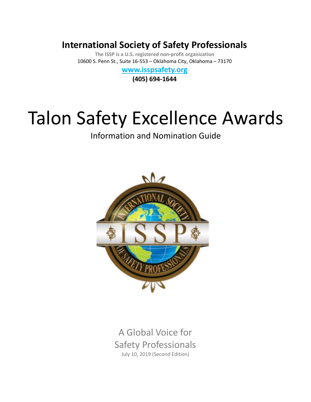# **International Society of Safety Professionals**

**The ISSP is a U.S. registered non-profit organization** 10600 S. Penn St., Suite 16-553 – Oklahoma City, Oklahoma – 73170

# **[www.isspsafety.org](http://www.isspsafety.org/)**

**(405) 694-1644**

# Talon Safety Excellence Awards

Information and Nomination Guide



A Global Voice for Safety Professionals July 10, 2019 (Second Edition)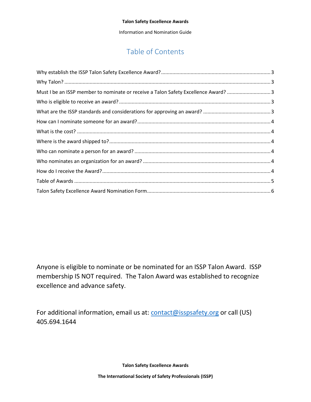Information and Nomination Guide

# Table of Contents

| Must I be an ISSP member to nominate or receive a Talon Safety Excellence Award? 3 |  |
|------------------------------------------------------------------------------------|--|
|                                                                                    |  |
|                                                                                    |  |
|                                                                                    |  |
|                                                                                    |  |
|                                                                                    |  |
|                                                                                    |  |
|                                                                                    |  |
|                                                                                    |  |
|                                                                                    |  |
|                                                                                    |  |

Anyone is eligible to nominate or be nominated for an ISSP Talon Award. ISSP membership IS NOT required. The Talon Award was established to recognize excellence and advance safety.

For additional information, email us at: **contact@isspsafety.org** or call (US) 405.694.1644

**Talon Safety Excellence Awards**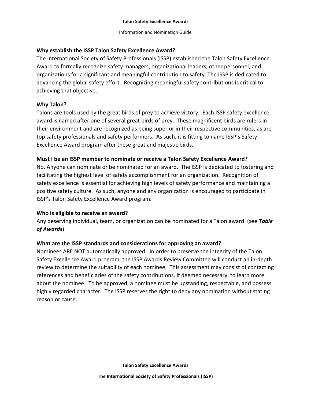#### Information and Nomination Guide

## <span id="page-2-0"></span>**Why establish the ISSP Talon Safety Excellence Award?**

The International Society of Safety Professionals (ISSP) established the Talon Safety Excellence Award to formally recognize safety managers, organizational leaders, other personnel, and organizations for a significant and meaningful contribution to safety. The ISSP is dedicated to advancing the global safety effort. Recognizing meaningful safety contributions is critical to achieving that objective.

## <span id="page-2-1"></span>**Why Talon?**

Talons are tools used by the great birds of prey to achieve victory. Each ISSP safety excellence award is named after one of several great birds of prey. These magnificent birds are rulers in their environment and are recognized as being superior in their respective communities, as are top safety professionals and safety performers. As such, it is fitting to name ISSP's Safety Excellence Award program after these great and majestic birds.

## <span id="page-2-2"></span>**Must I be an ISSP member to nominate or receive a Talon Safety Excellence Award?**

No. Anyone can nominate or be nominated for an award. The ISSP is dedicated to fostering and facilitating the highest level of safety accomplishment for an organization. Recognition of safety excellence is essential for achieving high levels of safety performance and maintaining a positive safety culture. As such, anyone and any organization is encouraged to participate in ISSP's Talon Safety Excellence Award program.

### <span id="page-2-3"></span>**Who is eligible to receive an award?**

Any deserving individual, team, or organization can be nominated for a Talon award. (see *Table of Awards*)

### <span id="page-2-4"></span>**What are the ISSP standards and considerations for approving an award?**

Nominees ARE NOT automatically approved. In order to preserve the integrity of the Talon Safety Excellence Award program, the ISSP Awards Review Committee will conduct an in-depth review to determine the suitability of each nominee. This assessment may consist of contacting references and beneficiaries of the safety contributions, if deemed necessary, to learn more about the nominee. To be approved, a nominee must be upstanding, respectable, and possess highly regarded character. The ISSP reserves the right to deny any nomination without stating reason or cause.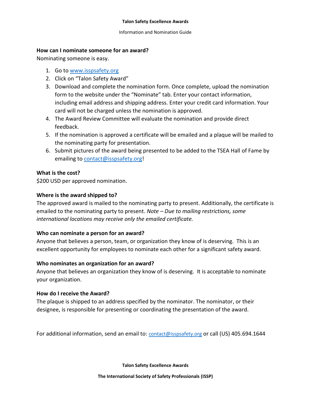Information and Nomination Guide

## <span id="page-3-0"></span>**How can I nominate someone for an award?**

Nominating someone is easy.

- 1. Go t[o www.isspsafety.org](http://www.isspsafety.org/)
- 2. Click on "Talon Safety Award"
- 3. Download and complete the nomination form. Once complete, upload the nomination form to the website under the "Nominate" tab. Enter your contact information, including email address and shipping address. Enter your credit card information. Your card will not be charged unless the nomination is approved.
- 4. The Award Review Committee will evaluate the nomination and provide direct feedback.
- 5. If the nomination is approved a certificate will be emailed and a plaque will be mailed to the nominating party for presentation.
- 6. Submit pictures of the award being presented to be added to the TSEA Hall of Fame by emailing to [contact@isspsafety.org!](mailto:contact@isspsafety.org)

# <span id="page-3-1"></span>**What is the cost?**

\$200 USD per approved nomination.

# <span id="page-3-2"></span>**Where is the award shipped to?**

The approved award is mailed to the nominating party to present. Additionally, the certificate is emailed to the nominating party to present. *Note – Due to mailing restrictions, some international locations may receive only the emailed certificate.* 

# <span id="page-3-3"></span>**Who can nominate a person for an award?**

Anyone that believes a person, team, or organization they know of is deserving. This is an excellent opportunity for employees to nominate each other for a significant safety award.

# <span id="page-3-4"></span>**Who nominates an organization for an award?**

Anyone that believes an organization they know of is deserving. It is acceptable to nominate your organization.

# <span id="page-3-5"></span>**How do I receive the Award?**

The plaque is shipped to an address specified by the nominator. The nominator, or their designee, is responsible for presenting or coordinating the presentation of the award.

For additional information, send an email to: [contact@isspsafety.org](mailto:contact@isspsafety.org) or call (US) 405.694.1644

**Talon Safety Excellence Awards**

**The International Society of Safety Professionals (ISSP)**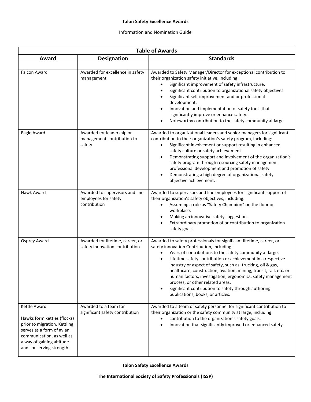#### Information and Nomination Guide

<span id="page-4-0"></span>

| <b>Table of Awards</b>                                                                                                                                                                         |                                                                         |                                                                                                                                                                                                                                                                                                                                                                                                                                                                                                                                                                                                 |  |  |  |
|------------------------------------------------------------------------------------------------------------------------------------------------------------------------------------------------|-------------------------------------------------------------------------|-------------------------------------------------------------------------------------------------------------------------------------------------------------------------------------------------------------------------------------------------------------------------------------------------------------------------------------------------------------------------------------------------------------------------------------------------------------------------------------------------------------------------------------------------------------------------------------------------|--|--|--|
| Award                                                                                                                                                                                          | <b>Designation</b>                                                      | <b>Standards</b>                                                                                                                                                                                                                                                                                                                                                                                                                                                                                                                                                                                |  |  |  |
| <b>Falcon Award</b>                                                                                                                                                                            | Awarded for excellence in safety<br>management                          | Awarded to Safety Manager/Director for exceptional contribution to<br>their organization safety initiative, including:<br>Significant improvement of safety infrastructure.<br>$\bullet$<br>Significant contribution to organizational safety objectives.<br>Significant self-improvement and or professional<br>development.<br>Innovation and implementation of safety tools that<br>significantly improve or enhance safety.<br>Noteworthy contribution to the safety community at large.                                                                                                    |  |  |  |
| Eagle Award                                                                                                                                                                                    | Awarded for leadership or<br>management contribution to<br>safety       | Awarded to organizational leaders and senior managers for significant<br>contribution to their organization's safety program, including:<br>Significant involvement or support resulting in enhanced<br>safety culture or safety achievement.<br>Demonstrating support and involvement of the organization's<br>safety program through resourcing safety management<br>professional development and promotion of safety.<br>Demonstrating a high degree of organizational safety<br>objective achievement.                                                                                      |  |  |  |
| Hawk Award                                                                                                                                                                                     | Awarded to supervisors and line<br>employees for safety<br>contribution | Awarded to supervisors and line employees for significant support of<br>their organization's safety objectives, including:<br>Assuming a role as "Safety Champion" on the floor or<br>workplace.<br>Making an innovative safety suggestion.<br>Extraordinary promotion of or contribution to organization<br>safety goals.                                                                                                                                                                                                                                                                      |  |  |  |
| Osprey Award                                                                                                                                                                                   | Awarded for lifetime, career, or<br>safety innovation contribution      | Awarded to safety professionals for significant lifetime, career, or<br>safety innovation Contribution, including:<br>Years of contributions to the safety community at large.<br>Lifetime safety contribution or achievement in a respective<br>$\bullet$<br>industry or aspect of safety, such as: trucking, oil & gas,<br>healthcare, construction, aviation, mining, transit, rail, etc. or<br>human factors, investigation, ergonomics, safety management<br>process, or other related areas.<br>Significant contribution to safety through authoring<br>publications, books, or articles. |  |  |  |
| Kettle Award<br>Hawks form kettles (flocks)<br>prior to migration. Kettling<br>serves as a form of avian<br>communication, as well as<br>a way of gaining altitude<br>and conserving strength. | Awarded to a team for<br>significant safety contribution                | Awarded to a team of safety personnel for significant contribution to<br>their organization or the safety community at large, including:<br>contribution to the organization's safety goals.<br>Innovation that significantly improved or enhanced safety.                                                                                                                                                                                                                                                                                                                                      |  |  |  |

**Talon Safety Excellence Awards**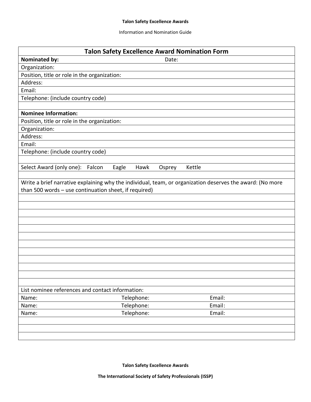#### Information and Nomination Guide

<span id="page-5-0"></span>

| <b>Talon Safety Excellence Award Nomination Form</b>                                                                                                               |                                   |        |  |  |  |
|--------------------------------------------------------------------------------------------------------------------------------------------------------------------|-----------------------------------|--------|--|--|--|
| <b>Nominated by:</b>                                                                                                                                               | Date:                             |        |  |  |  |
| Organization:                                                                                                                                                      |                                   |        |  |  |  |
| Position, title or role in the organization:                                                                                                                       |                                   |        |  |  |  |
| Address:                                                                                                                                                           |                                   |        |  |  |  |
| Email:                                                                                                                                                             |                                   |        |  |  |  |
| Telephone: (include country code)                                                                                                                                  |                                   |        |  |  |  |
|                                                                                                                                                                    |                                   |        |  |  |  |
| <b>Nominee Information:</b>                                                                                                                                        |                                   |        |  |  |  |
| Position, title or role in the organization:                                                                                                                       |                                   |        |  |  |  |
| Organization:                                                                                                                                                      |                                   |        |  |  |  |
| Address:                                                                                                                                                           |                                   |        |  |  |  |
| Email:                                                                                                                                                             |                                   |        |  |  |  |
| Telephone: (include country code)                                                                                                                                  |                                   |        |  |  |  |
|                                                                                                                                                                    |                                   |        |  |  |  |
| Select Award (only one): Falcon                                                                                                                                    | Eagle<br>Hawk<br>Kettle<br>Osprey |        |  |  |  |
| Write a brief narrative explaining why the individual, team, or organization deserves the award: (No more<br>than 500 words - use continuation sheet, if required) |                                   |        |  |  |  |
|                                                                                                                                                                    |                                   |        |  |  |  |
|                                                                                                                                                                    |                                   |        |  |  |  |
|                                                                                                                                                                    |                                   |        |  |  |  |
|                                                                                                                                                                    |                                   |        |  |  |  |
|                                                                                                                                                                    |                                   |        |  |  |  |
|                                                                                                                                                                    |                                   |        |  |  |  |
|                                                                                                                                                                    |                                   |        |  |  |  |
|                                                                                                                                                                    |                                   |        |  |  |  |
|                                                                                                                                                                    |                                   |        |  |  |  |
|                                                                                                                                                                    |                                   |        |  |  |  |
|                                                                                                                                                                    |                                   |        |  |  |  |
|                                                                                                                                                                    |                                   |        |  |  |  |
| List nominee references and contact information:                                                                                                                   |                                   |        |  |  |  |
| Name:                                                                                                                                                              | Telephone:                        | Email: |  |  |  |
| Name:                                                                                                                                                              | Telephone:                        | Email: |  |  |  |
| Name:                                                                                                                                                              | Telephone:                        | Email: |  |  |  |
|                                                                                                                                                                    |                                   |        |  |  |  |
|                                                                                                                                                                    |                                   |        |  |  |  |
|                                                                                                                                                                    |                                   |        |  |  |  |

**Talon Safety Excellence Awards**

**The International Society of Safety Professionals (ISSP)**